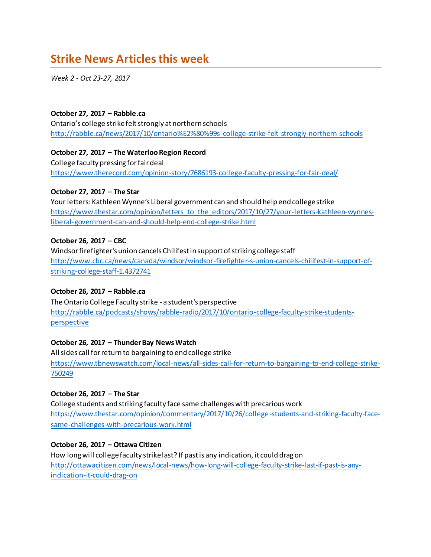# **Strike News Articlesthis week**

*Week 2 - Oct 23-27, 2017*

#### **October 27, 2017 – Rabble.ca**

Ontario's college strike felt strongly at northern schools <http://rabble.ca/news/2017/10/ontario%E2%80%99s-college-strike-felt-strongly-northern-schools>

#### **October 27, 2017 – The Waterloo Region Record**

College faculty pressing for fair deal <https://www.therecord.com/opinion-story/7686193-college-faculty-pressing-for-fair-deal/>

#### **October 27, 2017 – The Star**

Your letters: Kathleen Wynne's Liberal government can and should help end college strike [https://www.thestar.com/opinion/letters\\_to\\_the\\_editors/2017/10/27/your-letters-kathleen-wynnes](https://www.thestar.com/opinion/letters_to_the_editors/2017/10/27/your-letters-kathleen-wynnes-liberal-government-can-and-should-help-end-college-strike.html)[liberal-government-can-and-should-help-end-college-strike.html](https://www.thestar.com/opinion/letters_to_the_editors/2017/10/27/your-letters-kathleen-wynnes-liberal-government-can-and-should-help-end-college-strike.html)

#### **October 26, 2017 – CBC**

Windsor firefighter's union cancels Chilifest in support of striking college staff [http://www.cbc.ca/news/canada/windsor/windsor-firefighter-s-union-cancels-chilifest-in-support-of](http://www.cbc.ca/news/canada/windsor/windsor-firefighter-s-union-cancels-chilifest-in-support-of-striking-college-staff-1.4372741)[striking-college-staff-1.4372741](http://www.cbc.ca/news/canada/windsor/windsor-firefighter-s-union-cancels-chilifest-in-support-of-striking-college-staff-1.4372741)

# **October 26, 2017 – Rabble.ca**

The Ontario College Faculty strike - a student's perspective [http://rabble.ca/podcasts/shows/rabble-radio/2017/10/ontario-college-faculty-strike-students](http://rabble.ca/podcasts/shows/rabble-radio/2017/10/ontario-college-faculty-strike-students-perspective)[perspective](http://rabble.ca/podcasts/shows/rabble-radio/2017/10/ontario-college-faculty-strike-students-perspective)

#### **October 26, 2017 – Thunder Bay News Watch**

All sides call for return to bargaining to end college strike [https://www.tbnewswatch.com/local-news/all-sides-call-for-return-to-bargaining-to-end-college-strike-](https://www.tbnewswatch.com/local-news/all-sides-call-for-return-to-bargaining-to-end-college-strike-750249)[750249](https://www.tbnewswatch.com/local-news/all-sides-call-for-return-to-bargaining-to-end-college-strike-750249)

# **October 26, 2017 – The Star**

College students and striking faculty face same challenges with precarious work [https://www.thestar.com/opinion/commentary/2017/10/26/college-students-and-striking-faculty-face](https://www.thestar.com/opinion/commentary/2017/10/26/college-students-and-striking-faculty-face-same-challenges-with-precarious-work.html)[same-challenges-with-precarious-work.html](https://www.thestar.com/opinion/commentary/2017/10/26/college-students-and-striking-faculty-face-same-challenges-with-precarious-work.html)

# **October 26, 2017 – Ottawa Citizen**

How long will college faculty strike last? If past is any indication, it could drag on [http://ottawacitizen.com/news/local-news/how-long-will-college-faculty-strike-last-if-past-is-any](http://ottawacitizen.com/news/local-news/how-long-will-college-faculty-strike-last-if-past-is-any-indication-it-could-drag-on)[indication-it-could-drag-on](http://ottawacitizen.com/news/local-news/how-long-will-college-faculty-strike-last-if-past-is-any-indication-it-could-drag-on)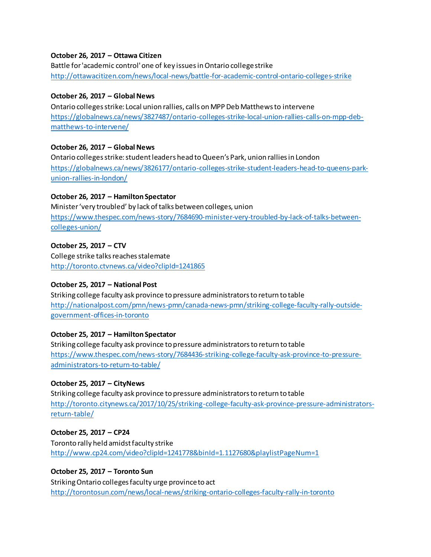#### **October 26, 2017 – Ottawa Citizen**

Battle for 'academic control' one of key issues in Ontario college strike <http://ottawacitizen.com/news/local-news/battle-for-academic-control-ontario-colleges-strike>

#### **October 26, 2017 – Global News**

Ontario colleges strike: Local union rallies, calls on MPP Deb Matthews to intervene [https://globalnews.ca/news/3827487/ontario-colleges-strike-local-union-rallies-calls-on-mpp-deb](https://globalnews.ca/news/3827487/ontario-colleges-strike-local-union-rallies-calls-on-mpp-deb-matthews-to-intervene/)[matthews-to-intervene/](https://globalnews.ca/news/3827487/ontario-colleges-strike-local-union-rallies-calls-on-mpp-deb-matthews-to-intervene/)

#### **October 26, 2017 – Global News**

Ontario colleges strike: student leaders head to Queen's Park, union rallies in London [https://globalnews.ca/news/3826177/ontario-colleges-strike-student-leaders-head-to-queens-park](https://globalnews.ca/news/3826177/ontario-colleges-strike-student-leaders-head-to-queens-park-union-rallies-in-london/)[union-rallies-in-london/](https://globalnews.ca/news/3826177/ontario-colleges-strike-student-leaders-head-to-queens-park-union-rallies-in-london/)

# **October 26, 2017 – Hamilton Spectator**

Minister 'very troubled' by lack of talks between colleges, union [https://www.thespec.com/news-story/7684690-minister-very-troubled-by-lack-of-talks-between](https://www.thespec.com/news-story/7684690-minister-very-troubled-by-lack-of-talks-between-colleges-union/)[colleges-union/](https://www.thespec.com/news-story/7684690-minister-very-troubled-by-lack-of-talks-between-colleges-union/)

# **October 25, 2017 – CTV**

College strike talks reaches stalemate <http://toronto.ctvnews.ca/video?clipId=1241865>

# **October 25, 2017 – National Post**

Striking college faculty ask province to pressure administrators to return to table [http://nationalpost.com/pmn/news-pmn/canada-news-pmn/striking-college-faculty-rally-outside](http://nationalpost.com/pmn/news-pmn/canada-news-pmn/striking-college-faculty-rally-outside-government-offices-in-toronto)[government-offices-in-toronto](http://nationalpost.com/pmn/news-pmn/canada-news-pmn/striking-college-faculty-rally-outside-government-offices-in-toronto)

# **October 25, 2017 – Hamilton Spectator**

Striking college faculty ask province to pressure administrators to return to table [https://www.thespec.com/news-story/7684436-striking-college-faculty-ask-province-to-pressure](https://www.thespec.com/news-story/7684436-striking-college-faculty-ask-province-to-pressure-administrators-to-return-to-table/)[administrators-to-return-to-table/](https://www.thespec.com/news-story/7684436-striking-college-faculty-ask-province-to-pressure-administrators-to-return-to-table/)

# **October 25, 2017 – CityNews**

Striking college faculty ask province to pressure administrators to return to table [http://toronto.citynews.ca/2017/10/25/striking-college-faculty-ask-province-pressure-administrators](http://toronto.citynews.ca/2017/10/25/striking-college-faculty-ask-province-pressure-administrators-return-table/)[return-table/](http://toronto.citynews.ca/2017/10/25/striking-college-faculty-ask-province-pressure-administrators-return-table/)

#### **October 25, 2017 – CP24**

Toronto rally held amidst faculty strike <http://www.cp24.com/video?clipId=1241778&binId=1.1127680&playlistPageNum=1>

# **October 25, 2017 – Toronto Sun**

Striking Ontario colleges faculty urge province to act <http://torontosun.com/news/local-news/striking-ontario-colleges-faculty-rally-in-toronto>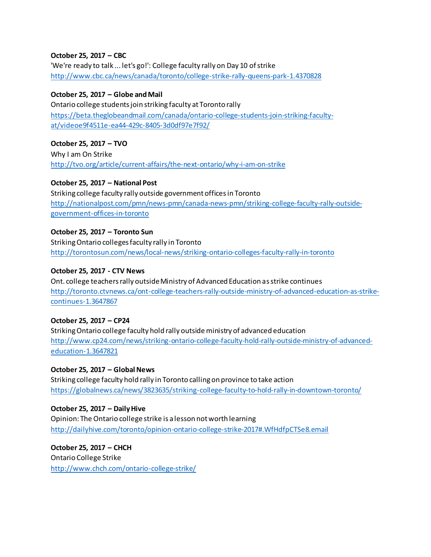# **October 25, 2017 – CBC**

'We're ready to talk ... let's go!': College faculty rally on Day 10 of strike <http://www.cbc.ca/news/canada/toronto/college-strike-rally-queens-park-1.4370828>

#### **October 25, 2017 – Globe and Mail**

Ontario college students join striking faculty at Toronto rally [https://beta.theglobeandmail.com/canada/ontario-college-students-join-striking-faculty](https://beta.theglobeandmail.com/canada/ontario-college-students-join-striking-faculty-at/videoe9f4511e-ea44-429c-8405-3d0df97e7f92/)[at/videoe9f4511e-ea44-429c-8405-3d0df97e7f92/](https://beta.theglobeandmail.com/canada/ontario-college-students-join-striking-faculty-at/videoe9f4511e-ea44-429c-8405-3d0df97e7f92/)

# **October 25, 2017 – TVO**

Why I am On Strike <http://tvo.org/article/current-affairs/the-next-ontario/why-i-am-on-strike>

# **October 25, 2017 – National Post**

Striking college faculty rally outside government offices in Toronto [http://nationalpost.com/pmn/news-pmn/canada-news-pmn/striking-college-faculty-rally-outside](http://nationalpost.com/pmn/news-pmn/canada-news-pmn/striking-college-faculty-rally-outside-government-offices-in-toronto)[government-offices-in-toronto](http://nationalpost.com/pmn/news-pmn/canada-news-pmn/striking-college-faculty-rally-outside-government-offices-in-toronto)

# **October 25, 2017 – Toronto Sun**

Striking Ontario colleges faculty rally in Toronto <http://torontosun.com/news/local-news/striking-ontario-colleges-faculty-rally-in-toronto>

# **October 25, 2017 - CTV News**

Ont. college teachers rally outside Ministry of Advanced Education as strike continues [http://toronto.ctvnews.ca/ont-college-teachers-rally-outside-ministry-of-advanced-education-as-strike](http://toronto.ctvnews.ca/ont-college-teachers-rally-outside-ministry-of-advanced-education-as-strike-continues-1.3647867)[continues-1.3647867](http://toronto.ctvnews.ca/ont-college-teachers-rally-outside-ministry-of-advanced-education-as-strike-continues-1.3647867)

# **October 25, 2017 – CP24**

Striking Ontario college faculty hold rally outside ministry of advanced education [http://www.cp24.com/news/striking-ontario-college-faculty-hold-rally-outside-ministry-of-advanced](http://www.cp24.com/news/striking-ontario-college-faculty-hold-rally-outside-ministry-of-advanced-education-1.3647821)[education-1.3647821](http://www.cp24.com/news/striking-ontario-college-faculty-hold-rally-outside-ministry-of-advanced-education-1.3647821)

**October 25, 2017 – Global News** Striking college faculty hold rally in Toronto calling on province to take action <https://globalnews.ca/news/3823635/striking-college-faculty-to-hold-rally-in-downtown-toronto/>

**October 25, 2017 – Daily Hive**  Opinion: The Ontario college strike is a lesson not worth learning <http://dailyhive.com/toronto/opinion-ontario-college-strike-2017#.WfHdfpCTSe8.email>

**October 25, 2017 – CHCH** Ontario College Strike <http://www.chch.com/ontario-college-strike/>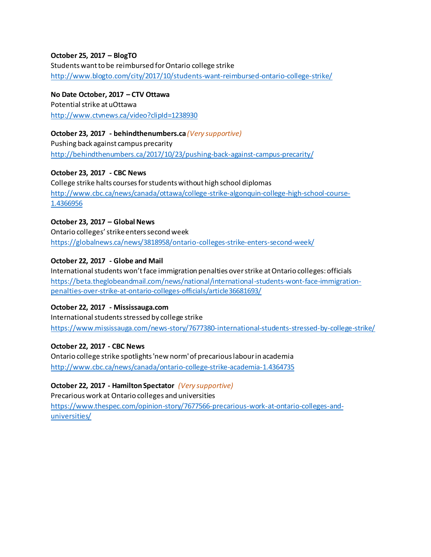#### **October 25, 2017 – BlogTO**

Students want to be reimbursed for Ontario college strike <http://www.blogto.com/city/2017/10/students-want-reimbursed-ontario-college-strike/>

**No Date October, 2017 – CTV Ottawa** Potential strike at uOttawa <http://www.ctvnews.ca/video?clipId=1238930>

**October 23, 2017 - behindthenumbers.ca** *(Very supportive)* Pushing back against campus precarity <http://behindthenumbers.ca/2017/10/23/pushing-back-against-campus-precarity/>

**October 23, 2017 - CBC News**  College strike halts courses for students without high school diplomas [http://www.cbc.ca/news/canada/ottawa/college-strike-algonquin-college-high-school-course-](http://www.cbc.ca/news/canada/ottawa/college-strike-algonquin-college-high-school-course-1.4366956)[1.4366956](http://www.cbc.ca/news/canada/ottawa/college-strike-algonquin-college-high-school-course-1.4366956)

**October 23, 2017 – Global News** Ontario colleges' strike enters second week <https://globalnews.ca/news/3818958/ontario-colleges-strike-enters-second-week/>

#### **October 22, 2017 - Globe and Mail**

International students won't face immigration penalties over strike at Ontario colleges: officials [https://beta.theglobeandmail.com/news/national/international-students-wont-face-immigration](https://beta.theglobeandmail.com/news/national/international-students-wont-face-immigration-penalties-over-strike-at-ontario-colleges-officials/article36681693/)[penalties-over-strike-at-ontario-colleges-officials/article36681693/](https://beta.theglobeandmail.com/news/national/international-students-wont-face-immigration-penalties-over-strike-at-ontario-colleges-officials/article36681693/)

#### **October 22, 2017 - Mississauga.com**

International students stressed by college strike <https://www.mississauga.com/news-story/7677380-international-students-stressed-by-college-strike/>

#### **October 22, 2017 - CBC News**

Ontario college strike spotlights 'new norm' of precarious labour in academia <http://www.cbc.ca/news/canada/ontario-college-strike-academia-1.4364735>

**October 22, 2017 - Hamilton Spectator** *(Very supportive)*

Precarious work at Ontario colleges and universities [https://www.thespec.com/opinion-story/7677566-precarious-work-at-ontario-colleges-and](https://www.thespec.com/opinion-story/7677566-precarious-work-at-ontario-colleges-and-universities/)[universities/](https://www.thespec.com/opinion-story/7677566-precarious-work-at-ontario-colleges-and-universities/)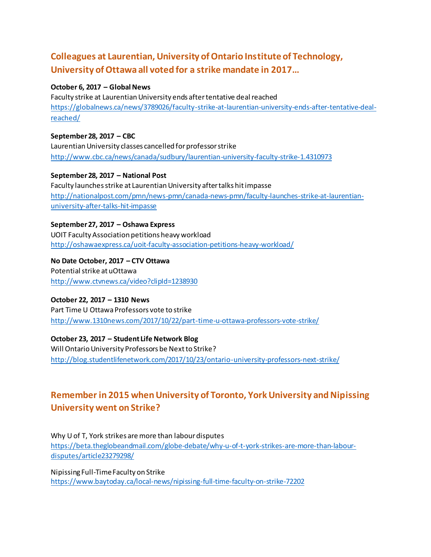# **Colleagues at Laurentian, University of Ontario Institute of Technology, University of Ottawa all voted for a strike mandate in 2017…**

#### **October 6, 2017 – Global News**

Faculty strike at Laurentian University ends after tentative deal reached [https://globalnews.ca/news/3789026/faculty-strike-at-laurentian-university-ends-after-tentative-deal](https://globalnews.ca/news/3789026/faculty-strike-at-laurentian-university-ends-after-tentative-deal-reached/)[reached/](https://globalnews.ca/news/3789026/faculty-strike-at-laurentian-university-ends-after-tentative-deal-reached/)

**September 28, 2017 – CBC**  Laurentian University classes cancelled for professor strike <http://www.cbc.ca/news/canada/sudbury/laurentian-university-faculty-strike-1.4310973>

**September 28, 2017 – National Post**  Faculty launches strike at Laurentian University after talks hit impasse [http://nationalpost.com/pmn/news-pmn/canada-news-pmn/faculty-launches-strike-at-laurentian](http://nationalpost.com/pmn/news-pmn/canada-news-pmn/faculty-launches-strike-at-laurentian-university-after-talks-hit-impasse)[university-after-talks-hit-impasse](http://nationalpost.com/pmn/news-pmn/canada-news-pmn/faculty-launches-strike-at-laurentian-university-after-talks-hit-impasse)

**September 27, 2017 – Oshawa Express**  UOIT Faculty Association petitions heavy workload <http://oshawaexpress.ca/uoit-faculty-association-petitions-heavy-workload/>

**No Date October, 2017 – CTV Ottawa** Potential strike at uOttawa <http://www.ctvnews.ca/video?clipId=1238930>

# **October 22, 2017 – 1310 News**

Part Time U Ottawa Professors vote to strike <http://www.1310news.com/2017/10/22/part-time-u-ottawa-professors-vote-strike/>

**October 23, 2017 – Student Life Network Blog**  Will Ontario University Professors be Next to Strike? <http://blog.studentlifenetwork.com/2017/10/23/ontario-university-professors-next-strike/>

# **Remember in 2015 when University of Toronto, York University and Nipissing University went on Strike?**

Why U of T, York strikes are more than labour disputes [https://beta.theglobeandmail.com/globe-debate/why-u-of-t-york-strikes-are-more-than-labour](https://beta.theglobeandmail.com/globe-debate/why-u-of-t-york-strikes-are-more-than-labour-disputes/article23279298/)[disputes/article23279298/](https://beta.theglobeandmail.com/globe-debate/why-u-of-t-york-strikes-are-more-than-labour-disputes/article23279298/)

Nipissing Full-Time Faculty on Strike <https://www.baytoday.ca/local-news/nipissing-full-time-faculty-on-strike-72202>